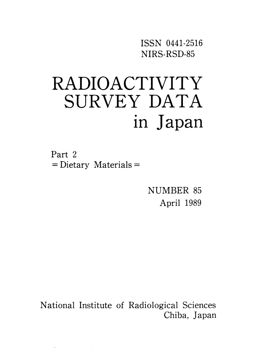ISSN O441-2516 NIRS-RSD-85

# RADIOACTIVITY SURVEY DATA in Japan

Part 2  $=$  Dietary Materials  $=$ 

 $\label{eq:2.1} \frac{1}{\sqrt{2\pi}}\int_{\mathbb{R}^3} \frac{d\mu}{\sqrt{2\pi}}\,d\mu\,d\mu\,,$  where  $\mu$  is the set of the set of the set of the set of the set of the set of the set of the set of the set of the set of the set of the set of the set of th

NUMBER 85 April 1989

National Institute of Radiological Sciences Chiba, Japan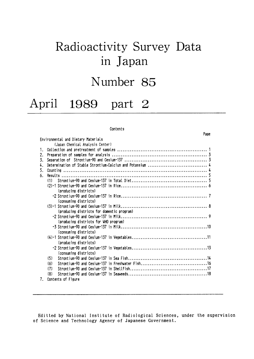## Radioactivity Survey Data in Japan

## Number 85

### April 1989 part 2

#### Contents

|                                            | 1 6 5 V |
|--------------------------------------------|---------|
| Environmental and Dietary Materials        |         |
| (Japan Chemical Analysis Center)           |         |
| 1.                                         |         |
| 2.                                         |         |
| 3.                                         |         |
| 4.                                         |         |
| 5.                                         |         |
| 6.                                         |         |
| (1)                                        |         |
|                                            |         |
| (producing districts)                      |         |
|                                            |         |
| (consuming districts)                      |         |
|                                            |         |
| (producing districts for domestic program) |         |
|                                            |         |
| (producing districts for WHO program)      |         |
|                                            |         |
| (consuming districts)                      |         |
|                                            |         |
| (producing districts)                      |         |
|                                            |         |
| (consuming districts)                      |         |
| (5)                                        |         |
| (6)                                        |         |
| (7)                                        |         |
| (8)                                        |         |
| Contents of Figure<br>7.                   |         |

Editted by National Institute of Radiological Sciences, under the supervision of Science and Technology Agency of Japanese Government.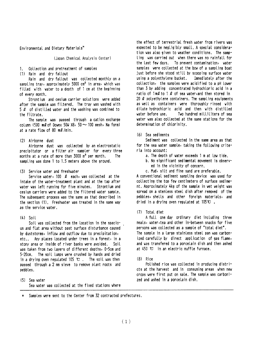Environmental and Dietary Materials\*

(Japan Chemical Analysis Center)

1 Collection and pretreatment of samples

(1) Rain and dry fallout

Rain and dry fallout was collected monthly on a sampling tray, approximately 5000 cm<sup>2</sup> in area, which was filled with water to a depth of 1 cm at the beginning of every month.

Strontium and cesium carrier solutions were added after the sample was filtered. The tray was washed with  $5 \ell$  of distilled water and the washing was combined to the filtrate.

The sample was passed through a cation exchange column  $(500 \text{ m}\ell \text{ of } 0$ ovex  $50\text{W}$  X8,  $50 \sim 100$  mesh, Na form) at a rate flow of 80  $m\ell$ /min.

#### (2) Airborne dust

Airborne dust was collected by an electrostatic precipitator or a filter air sampler for every three months at a rate of more than 3000 m<sup>3</sup> per month. The sampling was done 1 to 1.5 meters above the ground.

(3) Service water and freshwater

Service water, 100 Q each, was collected at the intake of the water-treatment plant and at the tap after water was left running for five minutes. Strontium and cesium carriers were added to the filtered water sample. The subsequent process was the same as that described in the section (1). Freshwater was treated in the same way as the service vater.

#### $(4)$  Soil

Soil was collected from the location in the spacious and flat area without past surface disturbance caused by duststorms, inflow and outflow due to precipitation, etc.. Any places located under trees in a forest, in a stony area or inside of river banks were avoided. Soil was taken from two layers of different depths, 0-5cm and 5-20cm. The soil lumps were crushed by hands and dried in a drying oven regulated 105  $\mathbb{C}$ . The soil was then passed through a 2 mm sieve to remove plant roots and pebbles.

(5) Sea vater Sea water was collected at the fixed stations where the effect of terrestrial fresh water from rivers was expected to be negligibly small. A special consideration was also given to weather conditions. The sampling was carried out when there was no rainfall for the last few days. To prevent contamination, water samples were collected at the bow of a sampling boat just before she stood still by scooping surface water using a polyethylene bucket. Immediately after the collection, the samples were acidified to a pH lower than 3 by adding concentrated hydrochloric acid in a ratio of  $1 \text{ m2}$  to  $1 \text{ } 2$  of sea water, and then stored in 20  $\ell$  polyethylene containers. The sampling equipments as well as containers were thoroughly rinsed with dilute hydrochloric acid and then with distilled water before use. Two hundred milliliters of sea water was also collected at the same stations for the determination of chlorinity.

(6) Sea sediments

Sediment was collected in the same area as that for the sea water sample, taking the following criteria into account:

- a. The depth of water exceeds 1 m at low tide.
- b. No significant sedimental movement is observed in the vicinity of concern.
- c. Mud, silt and fine sand are preferable.

A conventional sediment sampling device was used for collecting the top few centimeters of surface sediment. Approximately 4kg of the sample in wet weight was spread on a stenless steel dish after removed of the pebbles, shells and other foreign materials, and dried in a drying oven regulated at  $105 \mathbf{C}$ .

#### (7) Total diet

A full one day ordinary diet including three meals, water, tea and other in-between snacks for five persons was collected as a sample of "total diet". The sample in a large stainless steel pan was carbonized carefully by direct application of gas flame, and was transfered to a porcelain dish and then ashed at 450 °C in an electric muffle furnace.

#### $(8)$  Rice

Polished rice was collected in producing districts at the harvest and in consuming areas when new crops were first put on sale. The sample was carbonized and ashed in a porcelain dish.

Samples were sent to the Center from 32 contracted prefectures.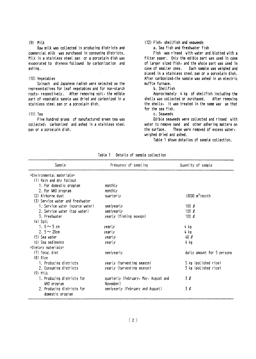#### $(9)$  Milk

Raw milk was collected in producing districts and commercial milk was purchased in consuming districts. Milk in a stainless steel pan or a porcelain dish was evaporated to dryness followed by carbonization and ashing.

#### (10) Vegetables

Spinach and Japanese radish were selected as the representatives for leaf vegetables and for non-starch roots, respectively. After removing soil, the edible part of vegetable sample was dried and carbonized in a stainless steel pan or a porcelain dish.

#### $(11)$  Tea

Five hundred grams of manufactured green tea was collected, carbonized and ashed in a stainless steel pan or a porcelain dish.

#### (12) Fish, shellfish and seaveeds

a. Sea fish and freshwater fish

Fish was rinsed with water and blotted with a filter paper. Only the edible part was used in case of larger sized fish, and the whole part was used in case of smaller ones. Each sample was weighed and placed in a stainless steel pan or a porcelain dish. After carbonized, the sample was ashed in an electric muffle furnace.

#### b. Shellfish

Approximately 4 kg of shellfish including the shells was collected or purchased. After removing the shells, it was treated in the same way as that for the sea fish.

#### c. Seaveeds

Edible seaweeds were collected and rinsed with water to remove sand and other adhering matters on the surface. These were removed of excess water, veighed dried and ashed.

Table 1 shows detailes of sample collection.

| Sample                           | Frequency of sampling                | Quantity of sample            |
|----------------------------------|--------------------------------------|-------------------------------|
| =Environmental_materials=        |                                      |                               |
| (1) Rain and dry fallout         |                                      |                               |
| 1. For domestic program          | monthly                              |                               |
| 2. For WHO program               | monthly                              |                               |
| (2) Airborne dust                | quarterly                            | $>3000$ m <sup>3</sup> /month |
| (3) Service water and freshwater |                                      |                               |
| 1. Service water (source water)  | semiyearly                           | 100 $\ell$                    |
| 2. Service water (tap water)     | semiyearly                           | 100 $\ell$                    |
| 3. Freshvater                    | yearly (fishing season)              | 100 $\ell$                    |
| $(4)$ Soil                       |                                      |                               |
| 1. $0 \sim 5$ cm                 | yearly                               | 4 kg                          |
| 2. $5 \sim 20$ cm                | yearly                               | 4 kg                          |
| (5) Sea vater                    | yearly                               | 40Q                           |
| (6) Sea sediments                | yearly                               | 4 kg                          |
| $=$ Dietary materials $=$        |                                      |                               |
| (7) Total diet                   | semiyearly                           | daily amount for 5 persons    |
| $(8)$ Rice                       |                                      |                               |
| 1. Producing districts           | yearly (harvesting season)           | 5 kg (polished rice)          |
| 2. Consuming districts           | yearly (harvesting season)           | 5 kg (polished rice)          |
| $(9)$ Milk                       |                                      |                               |
| 1. Producing districts for       | quarterly (February, May, August and | 3Q                            |
| WHO program                      | November)                            |                               |
| 2. Producing districts for       | semiyearly (February and August)     | 3Q                            |
| domestic program                 |                                      |                               |

Table 1 Details of sample collection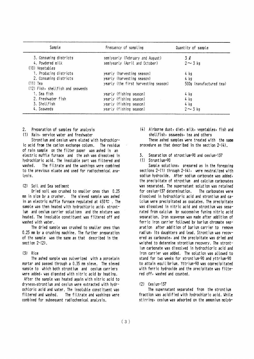| Sample                            | Frequency of sampling                | Quantity of sample      |  |  |
|-----------------------------------|--------------------------------------|-------------------------|--|--|
| 3. Consuming districts            | semiyearly (February and August)     | 3 l                     |  |  |
| 4. Powdered milk                  | semiyearly (April and October)       | $2 \sim 3$ kg           |  |  |
| (10) Vegetables                   |                                      |                         |  |  |
| 1. Producing districts            | yearly (harvesting season)           | 4 kg                    |  |  |
| 2. Consuming districts            | yearly (harvesting season)           | $4$ $kg$                |  |  |
| $(11)$ Tea                        | yearly (the first harvesting season) | 500g (manufactured tea) |  |  |
| (12) Fish, shellfish and seaweeds |                                      |                         |  |  |
| 1. Sea fish                       | yearly (fishing season)              | 4 kg                    |  |  |
| 2. Freshvater fish                | yearly (fishing season)              | 4 kg                    |  |  |
| 3. Shellfish                      | yearly (fishing season)              | 4 kg                    |  |  |
| 4. Seaweeds                       | yearly (fishing season)              | $2 \sim 3$ kg           |  |  |

- $2<sub>1</sub>$ Preparation of samples for analysis
- (1) Rain, service water and freshwater

Strontium and cesium were eluted with hydrochloric acid from the cation exchange column. The residue of rain sample on the filter paper was ashed in an electric muffle furnace and the ash was dissolved in hydrochloric acid. The insoluble part was filtered and uashed The filtrate and the washings were combined to the previous eluate and used for radiochemical analysis.

#### (2) Soil and Sea sediment

Dried soil was crushed to smaller ones than 0.25 mm in size by a crusher. The sieved sample was ashed in an electric muffle furnace regulated at  $450 \, \mathrm{C}$  . The sample was then heated with hydrochloric acid, strontium and cesium carrier solutions and the mixture was heated. The insoluble constituent was filtered off and washed with water.

The dried sample was crushed to smaller ones than 0.25 mm by a crushing machine. The further preparation of the sample was the same as that described in the section  $2-(2)$ .

#### $(3)$  Rice

The ashed sample was pulverized with a porcelain mortar and passed through a 0.35 mm sieve. The sieved sample to which both strontium and cesium carriers were added, was digested with nitric acid by heating. After the sample was heated again with nitric acid to dryness, strontium and cesium were extracted with hydr-

ochloric acid and water. The insoluble constituent was filtered and washed. The filtrate and washings were combined for subsequent radiochemical analysis.

(4) Airborne dust, diet, milk, vegetables, fish and shellfish, seaveeds, tea and others

These ashed samples were treated with the same procedure as that described in the section 2-(4).

- Separation of strontium-90 and cesium-137  $\mathbf{z}$
- (1) Strontium-90

Sample solutions, prepared as in the foregoing sections 2-(1) through 2-(4), were neutralized with sodium hydroxide. After sodium carbonate was added, the precipitate of strontium and calcium carbonates was separated. The supernatant solution was retained for cesium-137 determination. The carbonates vere dissolved in hydrochtoric acid and strontium and catoium were precipitated as oxalates. The precipitate was dissolved in nitric acid and strontium was separated from calcium by successive fuming nitric acid separation. Iron scavenge was made after addition of ferric iron carrier followed by barium chromate separation after addition of barium carrier to remove radium, its daughters and lead. Strontium was recovered as carbonate, and the precipitate was dried and weighed to determine strontium recovery. The strontjum carbonate was dissolved in hydrochloric acid and iron carrier was added. The solution was allowed to stand for two weeks for strontium-90 and yttrium-90 to attain equilibrium. Yttrium-90 was coprecipitated with ferric hydroxide and the precipitate was filtered off, washed and counted.

 $(2)$  Cesium-137

The supernatant separated from the strontium fraction was acidified with hydrochloric acid. While stirring, cesium was adsorbed on the ammonium molyb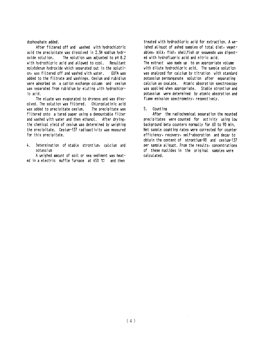dophosphate added.

After filtered off and washed with hydrochlotric acid the precipitate was dissolved in 2.5N sodium hydroxide solution. The solution was adjusted to pH 8.2 with hydrochloric acid and allowed to cool. Resultant molybdenum hydroxide which separated out in the solution, was filtered off and washed with water. FDTA use added to the filtrate and washings. Cesium and rubidium were adsorbed on a cation exchange column and cesium was separated from rubidium by eluting with hydrochloric acid.

The eluate was evaporated to dryness and was dissolved. The solution was filtered. Chloroplatinic acid was added to precipitate cesium. The precipitate was filtered onto a tared paper using a demountable filter and washed with water and then ethanol. After drying, the chemical yield of cesium was determined by weighing the precipitate. Cesium-137 radioactivity was measured for this precipitate.

Determination of stable strontium, calcium and  $\mathbf{L}$ **notaccium** 

A weighed amount of soil or sea sediment was heated in a electric muffle furnace at  $450 \text{ °C}$  and then

treated with hydrochloric acid for extraction. A weighed aliguot of ashed samples of total diet, vegetables, milk, fish, shellfish or seaveeds was digested with hydrofluoric acid and nitric acid. The extract was made up to an appropriate volume with dilute hydrochloric acid. The sample solution was analyzed for calcium by titration with standard potassium permanganate solution after separating calcium as oxalate. Atomic absorption spectroscopy was applied when appropriate. Stable strontium and potassium were determined by atomic absorption and flame emission spectrometry, respectively.

5. Count ing

After the radiochemical separation the mounted precipitates were counted for activity using low background beta counters normally for 60 to 90 min. Net sample counting rates vere corrected for counter efficiency, recovery, self-absorption and decay to obtain the content of strontium-90 and cesium-137 per sample aliquot. From the results, concentrations of these nuclides in the original samples were calculated.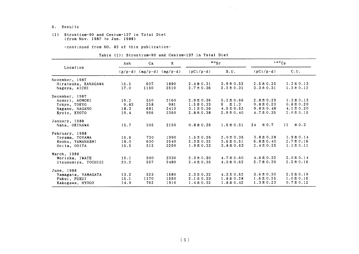- 6. Results
- (1) Strontium-90 and Cesium-137in Total Diet (from Nov. 1987 to Jun. 1988)

-continued from NO. 83 of this publication-

| Table (1): Strontium-90 and Cesium-137 in Total Diet |  |
|------------------------------------------------------|--|
|------------------------------------------------------|--|

|                     | Ash  | Ca                                | $\bf K$          | $\cdot$ $\cdot$  |                |                  | 137Cs           |
|---------------------|------|-----------------------------------|------------------|------------------|----------------|------------------|-----------------|
| Location            |      | $(g/p \cdot d)$ (mg/p $\cdot d$ ) | $(mg/p \cdot d)$ | $(pCi/p\cdot d)$ | S.U.           | $(pCi/p\cdot d)$ | C.U.            |
| November, 1987      |      |                                   |                  |                  |                |                  |                 |
| Hiratsuka, KANAGAWA | 16.5 | 607                               | 1890             | $2.4 \pm 0.31$   | $3.9 \pm 0.52$ | $2.5 \pm 0.25$   | $1.3 \pm 0.13$  |
| Nagoya, AICHI       | 17.0 | 1150                              | 2510             | $2.7 \pm 0.36$   | $2.3 \pm 0.31$ | $3.3 \pm 0.31$   | $1.3 \pm 0.12$  |
| December, 1987      |      |                                   |                  |                  |                |                  |                 |
| Aomori, AOMORI      | 19.2 | 550                               | 2160             | $2.9 \pm 0.36$   | $5.2 \pm 0.66$ | $2.8 \pm 0.29$   | $1.3 \pm 0.13$  |
| Tokyo, TOKYO        | 9.83 | 258                               | 981              | $1.5 \pm 0.33$   | $6 \pm 1.3$    | $0.8 \pm 0.20$   | $0.8 \pm 0.20$  |
| Nagano, NAGANO      | 18.3 | 681                               | 2410             | $3.1 \pm 0.36$   | $4.5 \pm 0.52$ | $9.8 \pm 0.48$   | $4.1 \pm 0.20$  |
| Kyoto, KYOTO        | 19.4 | 956                               | 2360             | $2.8 \pm 0.38$   | $2.9 \pm 0.40$ | $4.7 \pm 0.35$   | $2.0 \pm 0.15$  |
| January, 1988       |      |                                   |                  |                  |                |                  |                 |
| Naha, OKINAWA       | 15.7 | 505                               | 2150             | $0.8 \pm 0.26$   | $1.6 \pm 0.51$ | $24 \pm 0.7$     | $\pm$ 0.3<br>11 |
| February, 1988      |      |                                   |                  |                  |                |                  |                 |
| Toyama, TOYAMA      | 15.6 | 730                               | 1990             | $1.5 \pm 0.26$   | $2.0 \pm 0.35$ | $3.8 \pm 0.28$   | $1.9 \pm 0.14$  |
| Kouhu, YAMANASHI    | 18.0 | 630                               | 2540             | $2.3 \pm 0.32$   | $3.6 \pm 0.51$ | $6.8 \pm 0.40$   | $2.7 \pm 0.16$  |
| Ooita, OOITA        | 16.5 | 512                               | 2260             | $1.9 \pm 0.32$   | $3.8 \pm 0.63$ | $2.4 \pm 0.25$   | $1.1 \pm 0.11$  |
| March, 1988         |      |                                   |                  |                  |                |                  |                 |
| Morioka, IWATE      | 15.1 | 500                               | 2330             | $2.3 \pm 0.30$   | $4.7 \pm 0.60$ | $4.6 \pm 0.32$   | $2.0 \pm 0.14$  |
| Utsunomiya, TOCHIGI | 20.2 | 557                               | 2480             | $2.4 \pm 0.35$   | $4.3 \pm 0.62$ | $5.7 \pm 0.39$   | $2.3 \pm 0.16$  |
| June, 1988          |      |                                   |                  |                  |                |                  |                 |
| Yamagata, YAMAGATA  | 13.2 | 523                               | 1580             | $2.3 \pm 0.32$   | $4.3 \pm 0.62$ | $3.6 \pm 0.30$   | $2.3 \pm 0.19$  |
| Fukui, FUKUI        | 15.1 | 1170                              | 1550             | $2.1 \pm 0.33$   | $1.8 \pm 0.28$ | $1.6 \pm 0.25$   | $1.0 \pm 0.16$  |
| Kakogawa, HYOGO     | 14.9 | 762                               | 1910             | $1.4 \pm 0.32$   | $1.8 \pm 0.42$ | $1.3 \pm 0.23$   | $0.7 \pm 0.12$  |

 $\mathcal{A}=\mathcal{A}$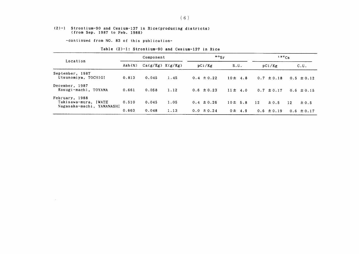#### (2)-1 Strontium-90 and Cesium-137in Rice(producing districts) (from Sep.1987 to Feb.1988)

-COntinued from NO.83 0f this publication-

 $\sim 10^{11}$ 

| Table (2)-1: Strontium-90 and Cesium-137 in Rice |  |  |  |
|--------------------------------------------------|--|--|--|
|                                                  |  |  |  |

|                                                                     | Component |                      |      | $\frac{90}{5}$ |              | $137C_S$        |                 |  |
|---------------------------------------------------------------------|-----------|----------------------|------|----------------|--------------|-----------------|-----------------|--|
| Location                                                            | Ash(x)    | $Ca(g/Kg)$ $K(g/Kg)$ |      | pCi/Kg         | S.U.         | pCi/Kg          | C.U.            |  |
| September, 1987<br>Utsunomiya, TOCHIGI                              | 0.813     | 0.045                | 1.45 | $0.4 \pm 0.22$ | $10 \pm 4.8$ | $0.7 \pm 0.18$  | $0.5 \pm 0.12$  |  |
| December, 1987<br>Kosugi-machi, TOYAMA                              | 0.661     | 0.058                | 1.12 | $0.6 \pm 0.23$ | $11 \pm 4.0$ | $0.7 \pm 0.17$  | $0.6 \pm 0.15$  |  |
| February, 1988<br>Takisawa-mura, IWATE<br>Nagasaka-machi, YAMANASHI | 0.510     | 0.045                | 1.05 | $0.4 \pm 0.26$ | $10 \pm 5.8$ | 12<br>$\pm 0.5$ | 12<br>$\pm$ 0.5 |  |
|                                                                     | 0.663     | 0.048                | 1.13 | $0.0 \pm 0.24$ | $0 \pm 4.9$  | $0.6 \pm 0.19$  | 0.6 $\pm$ 0.17  |  |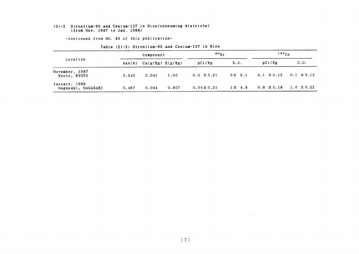#### (2)-2 Strontium-90 and Cesium-137in Rice(COnSuming districts) (from Nov. 1987 to Jan. 1988)

-continued from NO. 83 of this publication-

|                                     | Component |                      |       | $\cdot$ $\cdot$ $\cdot$ |             | $137C_S$                      |                |
|-------------------------------------|-----------|----------------------|-------|-------------------------|-------------|-------------------------------|----------------|
| Location                            | Ash(%)    | $Ca(g/Kg)$ $K(g/Kg)$ |       | pCi/Kg                  | S.U.        | pCi/Kg                        | C.U.           |
| November, 1987<br>Kyoto, KYOTO      | 0.545     | 0.041                | 1.00  | $0.0 \pm 0.21$          | 0± 5.1      | $0.1 \pm 0.12$ $0.1 \pm 0.12$ |                |
| January, 1988<br>Nagasaki, NAGASAKI | 0.467     | 0.044                | 0.807 | $0.04 \pm 0.21$         | $1 \pm 4.9$ | $0.8 \pm 0.18$                | $1.0 \pm 0.22$ |

Table (2)-2: Strontium-90 and Cesium-137 in Rice

 $\sim 10^{-11}$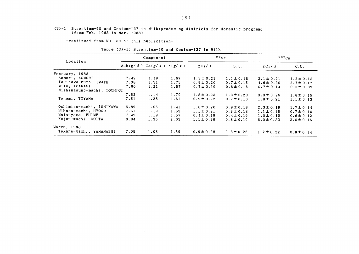#### (3)-1 Strontium-90 and Cesium-137in Milk(producing districts for domestic program) (from Feb.1988 to Mar.1988)

-COntinued from NO.83 0f this publication-

#### Table (3)-1: Strontium-90 and Cesium-137 in Milk

|                            | Component                                       |      |      |                | $\frac{80}{5}$ | $137C_S$       |                |
|----------------------------|-------------------------------------------------|------|------|----------------|----------------|----------------|----------------|
| Location                   | Ash $(g / \ell)$ Ca $(g / \ell)$ K $(g / \ell)$ |      |      | pCi/2          | S.U.           | pCi / l        | C.U.           |
| February, 1988             |                                                 |      |      |                |                |                |                |
| Aomori, AOMORI             | 7.49                                            | 1.19 | 1.67 | $1.3 \pm 0.21$ | $1.1 \pm 0.18$ | $2.1 \pm 0.21$ | $1.2 \pm 0.13$ |
| Takisawa-mura, IWATE       | 7.38                                            | 1.31 | 1.73 | $0.9 \pm 0.20$ | $0.7 \pm 0.15$ | $4.6 \pm 0.30$ | $2.7 \pm 0.17$ |
| Mito, IBARAGI              | 7.80                                            | 1.21 | 1.57 | $0.7 \pm 0.19$ | $0.6 \pm 0.16$ | $0.7 \pm 0.14$ | $0.5 \pm 0.09$ |
| Nishinasuno-machi, TOCHIGI |                                                 |      |      |                |                |                |                |
|                            | 7.52                                            | 1.14 | 1.79 | $1.5 \pm 0.23$ | $1.3 \pm 0.20$ | $3.3 \pm 0.26$ | $1.8 \pm 0.15$ |
| Tonami, TOYAMA             | 7.51                                            | 1.26 | 1.61 | $0.9 \pm 0.22$ | $0.7 \pm 0.18$ | $1.8 \pm 0.21$ | $1.1 \pm 0.13$ |
| Oshimizu-machi, ISHIKAWA   | 6.89                                            | 1.06 | 1.41 | $1.0 \pm 0.20$ | $0.9 \pm 0.18$ | $2.3 \pm 0.19$ | $1.7 \pm 0.14$ |
| Mihara-machi, HYOGO        | 7.51                                            | 1.19 | 1.53 | $1.1 \pm 0.21$ | $0.9 \pm 0.18$ | $1.1 \pm 0.15$ | $0.7 \pm 0.10$ |
| Matsuyama, EHIME           | 7.49                                            | 1.19 | 1.57 | $0.4 \pm 0.19$ | $0.4 \pm 0.16$ | $1.0 \pm 0.19$ | $0.6 \pm 0.12$ |
| Kujuu-machi, OOITA         | 8.84                                            | 1.35 | 2.03 | $1.1 \pm 0.26$ | $0.8 \pm 0.19$ | $6.0 \pm 0.33$ | $3.0 \pm 0.16$ |
| March, 1988                |                                                 |      |      |                |                |                |                |
| Takane-machi, YAMANASHI    | 7.05                                            | 1.08 | 1.59 | $0.9 \pm 0.28$ | $0.8 \pm 0.26$ | $1.2 \pm 0.22$ | $0.8 \pm 0.14$ |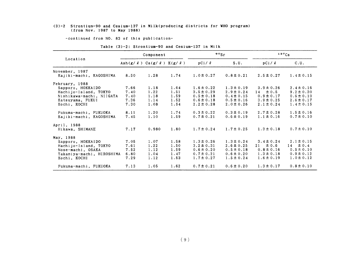#### (3)-2 Strontium-90 and Cesium-137in Milk(producing districts for WHO program) (from Nov. 1987 to May 1988)

一COntinued from NO.83 0f this publication-

|                           | Component                                       |       |      |                | $\frac{80}{5}$ | $137C_S$        |                |
|---------------------------|-------------------------------------------------|-------|------|----------------|----------------|-----------------|----------------|
| Location                  | Ash $(g / \ell)$ Ca $(g / \ell)$ K $(g / \ell)$ |       |      | pCi/2          | S.U.           | pCi/2           | C.U.           |
| November, 1987            |                                                 |       |      |                |                |                 |                |
| Kajiki-machi, KAGOSHIMA   | 8.50                                            | 1.28  | 1.74 | $1.0 \pm 0.27$ | $0.8 \pm 0.21$ | $2.5 \pm 0.27$  | $1.4 \pm 0.15$ |
| February, 1988            |                                                 |       |      |                |                |                 |                |
| Sapporo, HOKKAIDO         | 7.66                                            | 1.18  | 1.64 | $1.6 \pm 0.22$ | $1.3 \pm 0.19$ | $3.9 \pm 0.26$  | $2.4 \pm 0.16$ |
| Hachijo-Island, TOKYO     | 7.40                                            | 1.22  | 1.51 | $3.5 \pm 0.29$ | $2.9 \pm 0.24$ | $14 \pm 0.5$    | $9.2 \pm 0.30$ |
| Nishikawa-machi, NIIGATA  | 7.40                                            | 1.18  | 1.59 | $0.5 \pm 0.18$ | $0.4 \pm 0.15$ | $0.9 \pm 0.17$  | $0.6 \pm 0.10$ |
| Katsuyama, FUKUI          | 7.36                                            | 1.14  | 1.52 | $0.6 \pm 0.18$ | $0.5 \pm 0.16$ | $3.9 \pm 0.25$  | $2.6 \pm 0.17$ |
| Kochi, KOCHI              | 7.30                                            | 1.08  | 1.54 | $2.2 \pm 0.28$ | $2.0 \pm 0.26$ | $2.1 \pm 0.24$  | $1.4 \pm 0.15$ |
| Fukuma-machi, FUKUOKA     | 8.11                                            | 1.20  | 1.74 | $0.3 \pm 0.22$ | $0.3 \pm 0.19$ | $2.7 \pm 0.28$  | $1.5 \pm 0.16$ |
| Kajiki-machi, KAGOSHIMA   | 7.45                                            | 1.10  | 1.59 | $0.7 \pm 0.21$ | $0.6 \pm 0.19$ | $1.1 \pm 0.16$  | $0.7 \pm 0.10$ |
| April, 1988               |                                                 |       |      |                |                |                 |                |
| Hikawa, SHIMANE           | 7.17                                            | 0.980 | 1.80 | $1.7 \pm 0.24$ | $1.7 \pm 0.25$ | $1.3 \pm 0.18$  | $0.7 \pm 0.10$ |
| May, 1988                 |                                                 |       |      |                |                |                 |                |
| Sapporo, HOKKAIDO         | 7.05                                            | 1.07  | 1.58 | $1.3 \pm 0.26$ | $1.3 \pm 0.24$ | $3.4 \pm 0.24$  | $2.1 \pm 0.15$ |
| Hachijo-Island, TOKYO     | 7.61                                            | 1.22  | 1.50 | $3.2 \pm 0.31$ | $2.6 \pm 0.25$ | $\pm 0.6$<br>21 | $14 \pm 0.4$   |
| Nose-machi, OSAKA         | 7.52                                            | 1.12  | 1.59 | $0.6 \pm 0.20$ | $0.5 \pm 0.18$ | $0.8 \pm 0.16$  | $0.5 \pm 0.10$ |
| Takamiya-machi, HIROSHIMA | 6.80                                            | 1.04  | 1.47 | $0.7 \pm 0.21$ | $0.6 \pm 0.20$ | $1.3 \pm 0.18$  | $0.9 \pm 0.12$ |
| Kochi, KOCHI              | 7.29                                            | 1.12  | 1.53 | $1.7 \pm 0.27$ | $1.5 \pm 0.24$ | $1.6 \pm 0.19$  | $1.0 \pm 0.12$ |
| Fukuma-machi, FUKUOKA     | 7.13                                            | 1.05  | 1.62 | $0.7 \pm 0.21$ | $0.6 \pm 0.20$ | $1.3 \pm 0.17$  | $0.8 \pm 0.10$ |

#### Table (3)-2: Strontium-90 and Cesium-137 in Milk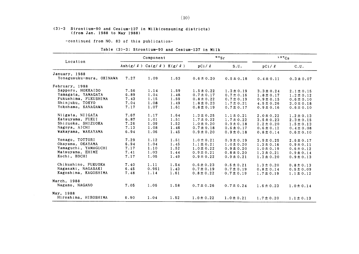#### (3)-3 Strontium-90 and Cesium-137in Milk(COnSuming districts) (from Jan. 1988 to May 1988)

-COntinued from NO.83 0f this publication-

#### Table (3)-3: Strontium-90 and Cesium-137 in Milk

|                          | Component                                    |       |      |                | $\frac{90}{s}$ | 137Cs          |                |  |
|--------------------------|----------------------------------------------|-------|------|----------------|----------------|----------------|----------------|--|
| Location                 | Ash(g/ $\ell$ ) Ca(g/ $\ell$ ) K(g/ $\ell$ ) |       |      | pCi / l        | S.U.           | pCi/2          | C.U.           |  |
| January, 1988            |                                              |       |      |                |                |                |                |  |
| Yonagusuku-mura, OKINAWA | 7.27                                         | 1.09  | 1.63 | $0.6 \pm 0.20$ | $0.5 \pm 0.18$ | $0.4 \pm 0.11$ | $0.3 \pm 0.07$ |  |
| February, 1988           |                                              |       |      |                |                |                |                |  |
| Sapporo, HOKKAIDO        | 7.56                                         | 1.14  | 1.59 | $1.5 \pm 0.22$ | $1.3 \pm 0.19$ | $3.3 \pm 0.24$ | $2.1 \pm 0.15$ |  |
| Yamagata, YAMAGATA       | 6.89                                         | 1.04  | 1.48 | $0.7 \pm 0.17$ | $0.7 \pm 0.16$ | $1.8 \pm 0.17$ | $1.2 \pm 0.12$ |  |
| Fukushima, FUKUSHIMA     | 7.43                                         | 1.15  | 1.59 | $0.8 \pm 0.22$ | $0.7 \pm 0.19$ | $0.9 \pm 0.15$ | $0.6 \pm 0.10$ |  |
| Shinjuku, TOKYO          | 7.04                                         | 1.08  | 1.49 | $1.8 \pm 0.23$ | $1.7 \pm 0.21$ | $4.5 \pm 0.26$ | $3.0 \pm 0.18$ |  |
| Yokohama, KANAGAWA       | 7.17                                         | 1.07  | 1.61 | $0.8 \pm 0.19$ | $0.7 \pm 0.17$ | $0.9 \pm 0.16$ | $0.6 \pm 0.10$ |  |
| Niigata, NIIGATA         | 7.67                                         | 1.17  | 1.64 | $1.3 \pm 0.25$ | $1.1 \pm 0.21$ | $2.0 \pm 0.22$ | $1.2 \pm 0.13$ |  |
| Katsuyama, FUKUI         | 6.87                                         | 1.01  | 1.51 | $1.7 \pm 0.22$ | $1.7 \pm 0.22$ | $3.5 \pm 0.23$ | $2.3 \pm 0.15$ |  |
| Shizuoka, SHIZUOKA       | 7.26                                         | 1.09  | 1.52 | $1.0 \pm 0.20$ | $0.9 \pm 0.18$ | $2.2 \pm 0.20$ | $1.5 \pm 0.13$ |  |
| Nagoya, AICHI            | 7.13                                         | 1.08  | 1.46 | $0.7 \pm 0.18$ | $0.6 \pm 0.17$ | $0.6 \pm 0.12$ | $0.4 \pm 0.08$ |  |
| Wakayama, WAKAYAMA       | 6.94                                         | 1.06  | 1.45 | $0.9 \pm 0.20$ | $0.9 \pm 0.18$ | $0.8 \pm 0.14$ | $0.6 \pm 0.10$ |  |
| Yonago, TOTTORI          | 7.29                                         | 1.12  | 1.51 | $1.0 \pm 0.21$ | $0.9 \pm 0.19$ | $3.9 \pm 0.25$ | $2.6 \pm 0.17$ |  |
| Okayama, OKAYAMA         | 6.94                                         | 1.04  | 1.45 | $1.1 \pm 0.21$ | $1.0 \pm 0.20$ | $1.3 \pm 0.16$ | $0.9 \pm 0.11$ |  |
| Yamaguchi, YAMAGUCHI     | 7.17                                         | 1.10  | 1.52 | $1.0 \pm 0.22$ | $0.9 \pm 0.20$ | $1.0 \pm 0.19$ | $0.6 \pm 0.12$ |  |
| Matsuyama, EHIME         | 7.41                                         | 1.03  | 1.44 | $0.9 \pm 0.21$ | $0.8 \pm 0.20$ | $1.3 \pm 0.21$ | $0.9 \pm 0.14$ |  |
| Kochi, KOCHI             | 7.17                                         | 1.05  | 1.49 | $0.9 \pm 0.22$ | $0.9 \pm 0.21$ | $1.3 \pm 0.20$ | $0.9 \pm 0.13$ |  |
| Chikushino, FUKUOKA      | 7.40                                         | 1.11  | 1.54 | $0.6 \pm 0.23$ | $0.5 \pm 0.21$ | $1.3 \pm 0.20$ | $0.8 \pm 0.13$ |  |
| Nagasaki, NAGASAKI       | 6.45                                         | 0.961 | 1.43 | $0.7 \pm 0.19$ | $0.7 \pm 0.19$ | $0.8 \pm 0.14$ | $0.5 \pm 0.09$ |  |
| Kagoshima, KAGOSHIMA     | 7.48                                         | 1.14  | 1.61 | $0.8 \pm 0.22$ | $0.7 \pm 0.19$ | $1.7 \pm 0.19$ | $1.1 \pm 0.12$ |  |
| March, 1988              |                                              |       |      |                |                |                |                |  |
| Nagano, NAGANO           | 7.05                                         | 1.06  | 1.58 | $0.7 \pm 0.26$ | $0.7 \pm 0.24$ | $1.6 \pm 0.23$ | $1.0 \pm 0.14$ |  |
| May. 1988                |                                              |       |      |                |                |                |                |  |
| Hiroshima, HIROSHIMA     | 6.90                                         | 1.04  | 1.52 | $1.0 \pm 0.22$ | $1.0 \pm 0.21$ | $1.7 \pm 0.20$ | $1.1 \pm 0.13$ |  |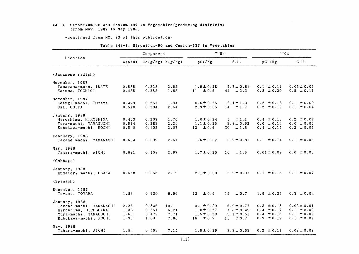#### (4)-1 Strontium-90 and Cesium-137 in Vegetables(producing districts) (from Nov.1987 to May1988)

-COntinued from NO.83 0f this publication-

|  |  | Table (4)-1: Strontium-90 and Cesium-137 in Vegetables |  |  |  |  |
|--|--|--------------------------------------------------------|--|--|--|--|
|--|--|--------------------------------------------------------|--|--|--|--|

| Component                        |        |                      | $\bullet$ osr |                | 137Cs                |                 |                 |
|----------------------------------|--------|----------------------|---------------|----------------|----------------------|-----------------|-----------------|
| Location                         | Ash(x) | $Ca(g/Kg)$ $K(g/Kg)$ |               | pCi/Kg         | S.U.                 | pCi/Kg          | C.U.            |
| (Japanese radish)                |        |                      |               |                |                      |                 |                 |
| November, 1987                   |        |                      |               |                |                      |                 |                 |
| Tamayama-mura, IWATE             | 0.585  | 0.328                | 2.62          | $1.9 \pm 0.28$ | $5.7 \pm 0.84$       | $0.1 \pm 0.12$  | $0.05 \pm 0.05$ |
| Kanuma, TOCHIGI                  | 0.435  | 0.258                | 1.83          | $11 \pm 0.6$   | $\pm 2.3$<br>41      | $0.8 \pm 0.20$  | $0.5 \pm 0.11$  |
| December, 1987                   |        |                      |               |                |                      |                 |                 |
| Kosugi-machi, TOYAMA             | 0.479  | 0.261                | 1.94          | $0.6 \pm 0.26$ | $2.1 \pm 1.0$        | $0.2 \pm 0.18$  | $0.1 \pm 0.09$  |
| Usa, OOITA                       | 0.540  | 0.204                | 2.64          | $2.9 \pm 0.35$ | $14 \pm 1.7$         | $0.2 \pm 0.12$  | $0.1 \pm 0.04$  |
| January, 1988                    |        |                      |               |                |                      |                 |                 |
| Hiroshima, HIROSHIMA             | 0.403  | 0.209                | 1.76          | $1.0 \pm 0.24$ | $\pm$ 1.1<br>5.      | $0.4 \pm 0.13$  | $0.2 \pm 0.07$  |
| Yuya-machi, YAMAGUCHI            | 0.514  | 0.283                | 2.24          | $1.1 \pm 0.26$ | $3.8 \pm 0.92$       | $0.0 \pm 0.14$  | $0.0 \pm 0.06$  |
| Kubokawa-machi, KOCHI            | 0.540  | 0.402                | 2.07          | $12 \pm 0.6$   | $30 \pm 1.5$         | $0.4 \pm 0.15$  | $0.2 \pm 0.07$  |
| February, 1988                   |        |                      |               |                |                      |                 |                 |
| Takane-machi, YAMANASHI          | 0.634  | 0.399                | 2.61          | $1.6 \pm 0.32$ | $3.9 \pm 0.81$       | $0.1 \pm 0.14$  | $0.1 \pm 0.05$  |
|                                  |        |                      |               |                |                      |                 |                 |
| May, 1988<br>Tahara-machi, AICHI | 0.621  | 0.168                | 2.97          | $1.7 \pm 0.26$ | $10-10$<br>$\pm$ 1.5 | $0.01 \pm 0.09$ | $0.0 \pm 0.03$  |
|                                  |        |                      |               |                |                      |                 |                 |
| (Cabbage)                        |        |                      |               |                |                      |                 |                 |
| January, 1988                    |        |                      |               |                |                      |                 |                 |
| Kumatori-machi, OSAKA            | 0.568  | 0.366                | 2.19          | $2.1 \pm 0.33$ | $5.9 \pm 0.91$       | $0.1 \pm 0.16$  | $0.1 \pm 0.07$  |
| (Spinach)                        |        |                      |               |                |                      |                 |                 |
| December, 1987                   |        |                      |               |                |                      |                 |                 |
| Toyama, TOYAMA                   | 1.83   | 0.900                | 6.96          | ± 0.6<br>13    | 15<br>± 0.7          | $1.9 \pm 0.25$  | $0.3 \pm 0.04$  |
| January, 1988                    |        |                      |               |                |                      |                 |                 |
| Takane-machi, YAMANASHI          | 2.25   | 0.506                | 10.1          | $3.1 \pm 0.39$ | $6.0 \pm 0.77$       | $0.3 \pm 0.15$  | $0.03 \pm 0.01$ |
| Hiroshima, HIROSHIMA             | 1.38   | 0.561                | 6.21          | $1.0 \pm 0.27$ | $1.8 \pm 0.49$       | $0.4 \pm 0.17$  | $0.1 \pm 0.03$  |
| Yuya-machi, YAMAGUCHI            | 1.63   | 0.479                | 7.71          | $1.5 \pm 0.29$ | $3.1 \pm 0.61$       | $0.4 \pm 0.16$  | $0.1 \pm 0.02$  |
| Kubokawa-machi, KOCHI            | 1.96   | 1.09                 | 7.80          | $16 \pm 0.7$   | $\pm 0.7$<br>15      | $0.9 \pm 0.19$  | $0.1 \pm 0.02$  |
| May, 1988                        |        |                      |               |                |                      |                 |                 |
| Tahara-machi, AICHI              | 1.54   | 0.463                | 7.15          | $1.5 \pm 0.29$ | $3.3 \pm 0.63$       | $0.2 \pm 0.11$  | $0.02 \pm 0.02$ |
|                                  |        |                      |               |                |                      |                 |                 |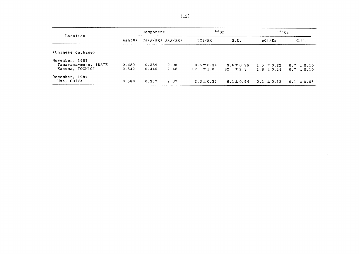|                      |        | Component            |      | $\frac{90}{5}$  |                | 137C <sub>S</sub> |                |
|----------------------|--------|----------------------|------|-----------------|----------------|-------------------|----------------|
| Location             | Ash(x) | $Ca(g/Kg)$ $K(g/Kg)$ |      | pCi/Kg          | S.U.           | pCi/Kg            | C.U.           |
| (Chinese cabbage)    |        |                      |      |                 |                |                   |                |
| November, 1987       |        |                      |      |                 |                |                   |                |
| Tamayama-mura, IWATE | 0.489  | 0.359                | 2.06 | $3.5 \pm 0.34$  | $9.6 \pm 0.96$ | $1.5 \pm 0.22$    | $0.7 \pm 0.10$ |
| Kanuma, TOCHIGI      | 0.642  | 0.445                | 2.48 | 37<br>$\pm 1.0$ | $82 \pm 2.3$   | $1.8 \pm 0.24$    | $0.7 \pm 0.10$ |
| December, 1987       |        |                      |      |                 |                |                   |                |
| Usa, OOITA           | 0.588  | 0.367                | 2.37 | $2.3 \pm 0.35$  | $6.1 \pm 0.94$ | $0.2 \pm 0.12$    | $0.1 \pm 0.05$ |

 $\mathcal{L}_{\mathcal{A}}$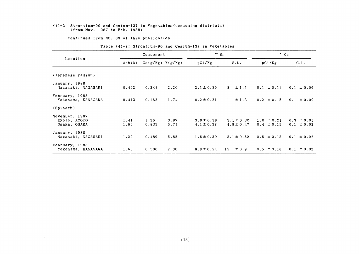#### $(4)-2$  Strontium-90 and Cesium-137 in Vegetables(consuming districts) (from Nov.1987 to Feb.1988)

-COntinued from NO.83 0f this publication-

|                                                |              | Component            |              | $\cdot$ $\cdot$ $\cdot$ $\cdot$  |                                  | 137Cs                            |                                  |
|------------------------------------------------|--------------|----------------------|--------------|----------------------------------|----------------------------------|----------------------------------|----------------------------------|
| Location                                       | Ash(x)       | $Ca(g/Kg)$ $K(g/Kg)$ |              | pCi/Kg                           | S.U.                             | pCi/Kg                           | C.U.                             |
| (Japanese radish)                              |              |                      |              |                                  |                                  |                                  |                                  |
| January, 1988<br>Nagasaki, NAGASAKI            | 0.492        | 0.244                | 2.20         | $2.1 \pm 0.36$                   | $\pm$ 1.5<br>8                   | $0.1 \pm 0.14$                   | $0.1 \pm 0.06$                   |
| February, 1988<br>Yokohama, KANAGAWA           | 0.413        | 0.162                | 1.74         | $0.2 \pm 0.21$                   | $\pm$ 1.3<br>$\mathbf{1}$        | $0.2 \pm 0.15$                   | $0.1 \pm 0.09$                   |
| (Spinach)                                      |              |                      |              |                                  |                                  |                                  |                                  |
| November, 1987<br>Kyoto, KYOTO<br>Osaka, OSAKA | 1.41<br>1.60 | 1.26<br>0.833        | 3.97<br>6.74 | $3.9 \pm 0.38$<br>$4.1 \pm 0.39$ | $3.1 \pm 0.30$<br>$4.9 \pm 0.47$ | $1.0 \pm 0.21$<br>$0.4 \pm 0.15$ | $0.3 \pm 0.05$<br>$0.1 \pm 0.02$ |
| January, 1988<br>Nagasaki, NAGASAKI            | 1.29         | 0.489                | 5.82         | $1.5 \pm 0.30$                   | $3.1 \pm 0.62$                   | $0.5 \pm 0.13$                   | $0.1 \pm 0.02$                   |
| February, 1988<br>Yokohama, KANAGAWA           | 1.60         | 0.580                | 7.36         | $8.9 \pm 0.54$                   | $\pm 0.9$<br>15                  | $0.5 \pm 0.18$                   | $0.1 \pm 0.02$                   |

#### Table (4)-2: Strontium-90 and Cesium-137 in Vegetables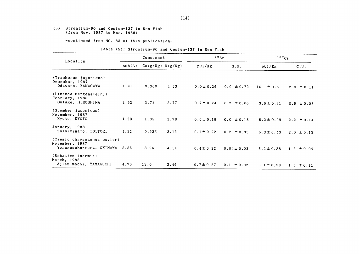#### (5) Strontium-90 and Cesium-137in Sea Fish (from Nov.1987 to Mar.1988)

-COntinued from NO.83 0f this publication-

#### Table (5): Strontium-90 and Cesium-137 in Sea Fish

|                                                                           |                          | Component            |      | $\bullet \circ$ <sub>Sr</sub> |                 | 137C <sub>S</sub> |                |
|---------------------------------------------------------------------------|--------------------------|----------------------|------|-------------------------------|-----------------|-------------------|----------------|
| Location                                                                  | $\text{Ash}(\mathbf{x})$ | $Ca(g/Kg)$ $K(g/Kg)$ |      | pCi/Kg                        | S.U.            | pCi/Kg            | C.U.           |
| (Trachurus japonicus)<br>December, 1987<br>Odawara, KANAGAWA              | 1.41                     | 0.360                | 4.53 | $0.0 \pm 0.26$                | $0.0 \pm 0.72$  | ± 0.5<br>10       | $2.3 \pm 0.11$ |
| (Limanda herzensteini)<br>February, 1988<br>Ootake, HIROSHIMA             | 2.92                     | 3.74                 | 3.77 | $0.7 \pm 0.24$                | $0.2 \pm 0.06$  | $3.5 \pm 0.31$    | $0.9 \pm 0.08$ |
| (Scomber japonicus)<br>November, 1987<br>Kyoto, KYOTO                     | 1.23                     | 1.05                 | 2.78 | $0.0 \pm 0.19$                | $0.0 \pm 0.18$  | $6.2 \pm 0.39$    | $2.2 \pm 0.14$ |
| January, 1988<br>Sakaiminato, TOTTORI                                     | 1.32                     | 0.633                | 3.13 | $0.1 \pm 0.22$                | $0.2 \pm 0.35$  | $6.3 \pm 0.40$    | $2.0 \pm 0.13$ |
| (Caesio chrysozonus cuvier)<br>November, 1987<br>Yonagusuku-mura, OKINAWA | 3.85                     | 8.95                 | 4.14 | $0.4 \pm 0.22$                | $0.04 \pm 0.02$ | $5.2 \pm 0.38$    | $1.3 \pm 0.09$ |
| (Sebastes inermis)<br>March, 1988<br>Ajisu-machi, YAMAGUCHI               | 4.70                     | 13.0                 | 3.46 | $0.7 \pm 0.27$                | $0.1 \pm 0.02$  | $5.1 \pm 0.38$    | $1.5 \pm 0.11$ |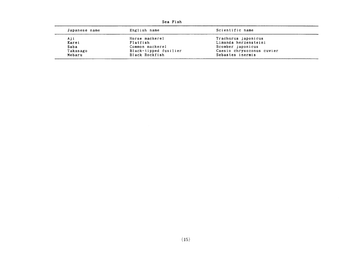| Japanese name | English name          | Scientific name           |
|---------------|-----------------------|---------------------------|
| Aji           | Horse mackerel        | Trachurus japonicus       |
| Karei         | Flatfish              | Limanda herzensteini      |
| Saba          | Common mackerel       | Scomber japonicus         |
| Takasago      | Black-tipped fusilier | Caesio chrysozonus cuvier |
| Mebaru        | Black Rockfish        | Sebastes inermis          |

Sea F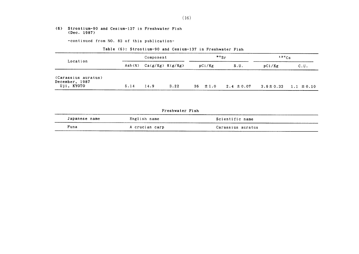#### (6) Strontium-90 and Cesium-137in Freshwater Fish (Dec.1987)

-COntinued from NO.83 0f this publication-

| Location                                            |        | Component            |      | $\cdot$ $\cdot$ sr |                | 137C <sub>S</sub> |                |
|-----------------------------------------------------|--------|----------------------|------|--------------------|----------------|-------------------|----------------|
|                                                     | Ash(X) | $Ca(g/Kg)$ $K(g/Kg)$ |      | pCi/Kg             | S.U.           | pCi/Kg            | C.U.           |
| (Carassius auratus)<br>December, 1987<br>Uji, KYOTO | 5.14   | 14.9                 | 3.22 | $36 \pm 1.0$       | $2.4 \pm 0.07$ | $3.6 \pm 0.33$    | $1.1 \pm 0.10$ |

| Table (6): Strontium-90 and Cesium-137 in Freshwater Fish |  |  |  |
|-----------------------------------------------------------|--|--|--|

Freshwater Fish Japanese name **English name** Scientific name Funa Acrucian carp Carassius auratus Acrucian carp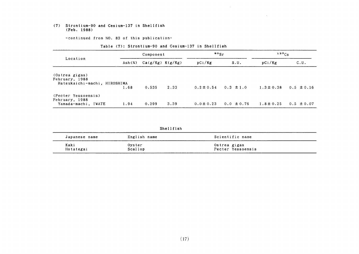#### (7) Strontium-90 and Cesium-137 in Shellfish (Feb.1988)

-COntinued from NO.83 0f this publication-

|                                                                  | Component |                      |      | $\frac{90}{5}$ r |                | $137C_S$       |                |
|------------------------------------------------------------------|-----------|----------------------|------|------------------|----------------|----------------|----------------|
| Location                                                         | Ash $(z)$ | $Ca(g/Kg)$ $K(g/Kg)$ |      | pCi/Kg           | S.U.           | pCi/Kg         | C.U.           |
| (Ostrea gigas)<br>February, 1988<br>Hatsukaichi-machi, HIROSHIMA |           |                      |      |                  |                |                |                |
|                                                                  | 1.68      | 0.535                | 2.33 | $0.2 \pm 0.54$   | $0.3 \pm 1.0$  | $1.3 \pm 0.38$ | $0.5 \pm 0.16$ |
| (Pecter Yessoensis)<br>February, 1988<br>Yamada-machi, IWATE     | 1.94      | 0.299                | 3.39 | $0.0 \pm 0.23$   | $0.0 \pm 0.76$ | $1.8 \pm 0.25$ | $0.5 \pm 0.07$ |

 $\sim 10^{-1}$ 

 $\mathcal{L}(\mathcal{A})$  and  $\mathcal{L}(\mathcal{A})$ 

#### Table (7): Strontium-90 and Cesium-137 in Shellfish

Shellfish

| Japanese name | English name | Scientific name   |
|---------------|--------------|-------------------|
| Kaki          | Oyster       | Ostrea gigas      |
| Hotategai     | Scallop      | Pecter Yessoensis |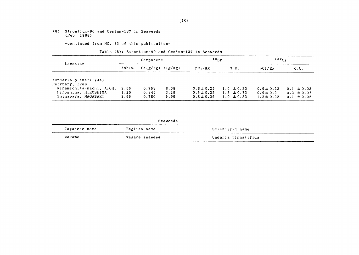#### (8) Strontium-90 and Cesium-137 in Seaweeds (Feb. 1988)

-COntinued from NO.83 0f this publication-

#### Table (8): Strontium-90 and Cesium-137 in Seaweeds

|                                                                         | Component                 |                         |                      | $\frac{90}{5}$ r                                   |                                                    | $137C_S$                                           |                                                    |
|-------------------------------------------------------------------------|---------------------------|-------------------------|----------------------|----------------------------------------------------|----------------------------------------------------|----------------------------------------------------|----------------------------------------------------|
| Location                                                                | $\text{Ash}(\mathcal{Z})$ | $Ca(g/Kg)$ $K(g/Kg)$    |                      | pCi/Kg                                             | S.U.                                               | pCi/Kg                                             | c.u.                                               |
| (Undaria pinnatifida)<br>February, 1988                                 |                           |                         |                      |                                                    |                                                    |                                                    |                                                    |
| Minamichita-machi, AICHI<br>Hiroshima, HIROSHIMA<br>Shimabara, NAGASAKI | 2.66<br>1.20<br>2.99      | 0.753<br>0.345<br>0.780 | 8.68<br>3.29<br>9.99 | $0.8 \pm 0.25$<br>$0.5 \pm 0.25$<br>$0.8 \pm 0.26$ | $1.0 \pm 0.33$<br>$1.3 \pm 0.73$<br>$1.0 \pm 0.33$ | $0.9 \pm 0.22$<br>$0.9 \pm 0.21$<br>$1.2 \pm 0.22$ | $0.1 \pm 0.03$<br>$0.3 \pm 0.07$<br>$0.1 \pm 0.02$ |

|  |  | Seaweeds |  |
|--|--|----------|--|
|--|--|----------|--|

| Japanese name | English name   | Scientific name     |
|---------------|----------------|---------------------|
| Wakame        | Wakame seaweed | Undaria pinnatifida |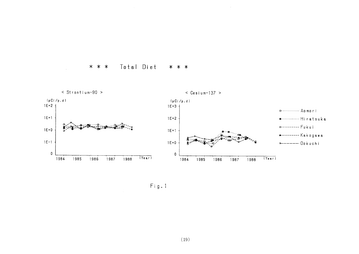Total Diet \* \* \* \* \* \*



 $Fig. 1$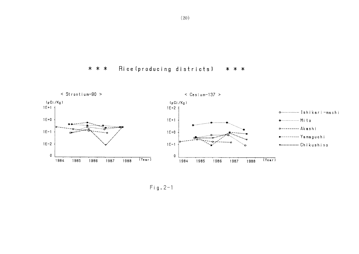Rice (producing districts) \* \* \* \* \* \*



 $Fig. 2-1$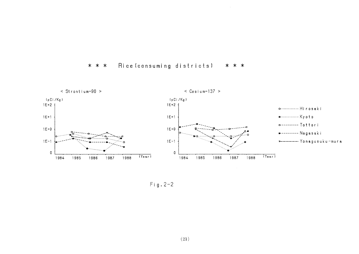



 $\sim 10^7$ 

 $Fig. 2-2$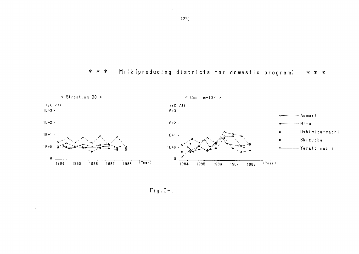

 $\sim$ 



 $Fig. 3-1$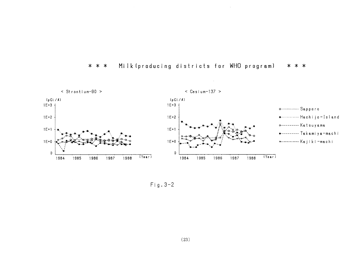

#### Milk (producing districts for WHO program)  $* * *$ \* \* \*

 $\sim$   $\sim$ 

 $Fig. 3-2$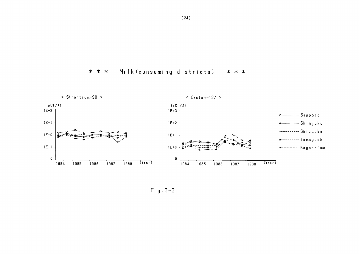#### Milk (consuming districts) \* \* \* \* \* \*



 $Fig. 3-3$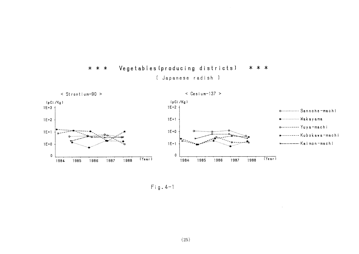



 $Fig. 4-1$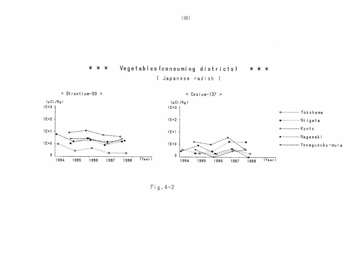Vegetables (consuming districts)  $* * *$ \* \* \* [ Japanese radish ]



 $Fig. 4-2$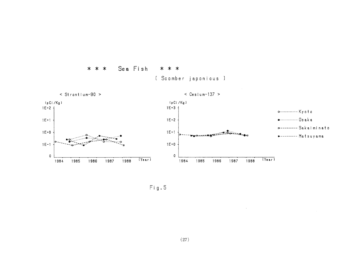

\* \* \*

 $Fig. 5$ 

Sea Fish

 $* * *$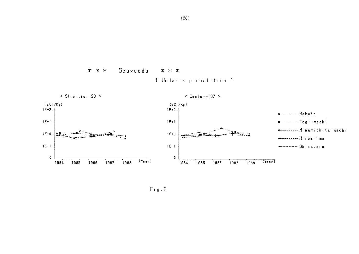

 $Fig. 6$ 

 $* * *$ 

Seaweeds

\* \* \*